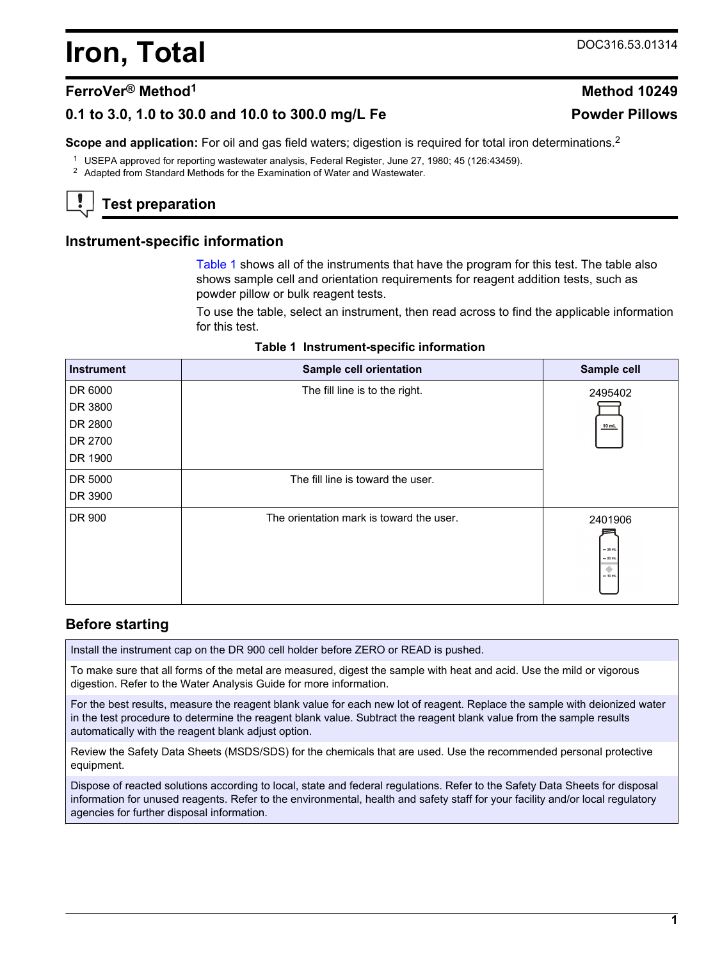# **Iron, Total** DOC316.53.01314

# **FerroVer® Method<sup>1</sup> Method 10249**

# **0.1 to 3.0, 1.0 to 30.0 and 10.0 to 300.0 mg/L Fe Powder Pillows**

**Scope and application:** For oil and gas field waters; digestion is required for total iron determinations.<sup>2</sup>

- <sup>1</sup> USEPA approved for reporting wastewater analysis, Federal Register, June 27, 1980; 45 (126:43459).
- <sup>2</sup> Adapted from Standard Methods for the Examination of Water and Wastewater.

# **Test preparation**

#### **Instrument-specific information**

[Table 1](#page-0-0) shows all of the instruments that have the program for this test. The table also shows sample cell and orientation requirements for reagent addition tests, such as powder pillow or bulk reagent tests.

To use the table, select an instrument, then read across to find the applicable information for this test.

|  | Table 1 Instrument-specific information |  |  |
|--|-----------------------------------------|--|--|
|--|-----------------------------------------|--|--|

<span id="page-0-1"></span><span id="page-0-0"></span>

| <b>Instrument</b> | <b>Sample cell orientation</b>           | Sample cell                                       |
|-------------------|------------------------------------------|---------------------------------------------------|
| DR 6000           | The fill line is to the right.           | 2495402                                           |
| DR 3800           |                                          |                                                   |
| DR 2800           |                                          | 10 mL                                             |
| DR 2700           |                                          |                                                   |
| DR 1900           |                                          |                                                   |
| DR 5000           | The fill line is toward the user.        |                                                   |
| DR 3900           |                                          |                                                   |
| DR 900            | The orientation mark is toward the user. | 2401906<br>$-25$ mL<br>$= 20$ mL<br>۰<br>$-10$ mL |

### **Before starting**

Install the instrument cap on the DR 900 cell holder before ZERO or READ is pushed.

To make sure that all forms of the metal are measured, digest the sample with heat and acid. Use the mild or vigorous digestion. Refer to the Water Analysis Guide for more information.

For the best results, measure the reagent blank value for each new lot of reagent. Replace the sample with deionized water in the test procedure to determine the reagent blank value. Subtract the reagent blank value from the sample results automatically with the reagent blank adjust option.

Review the Safety Data Sheets (MSDS/SDS) for the chemicals that are used. Use the recommended personal protective equipment.

Dispose of reacted solutions according to local, state and federal regulations. Refer to the Safety Data Sheets for disposal information for unused reagents. Refer to the environmental, health and safety staff for your facility and/or local regulatory agencies for further disposal information.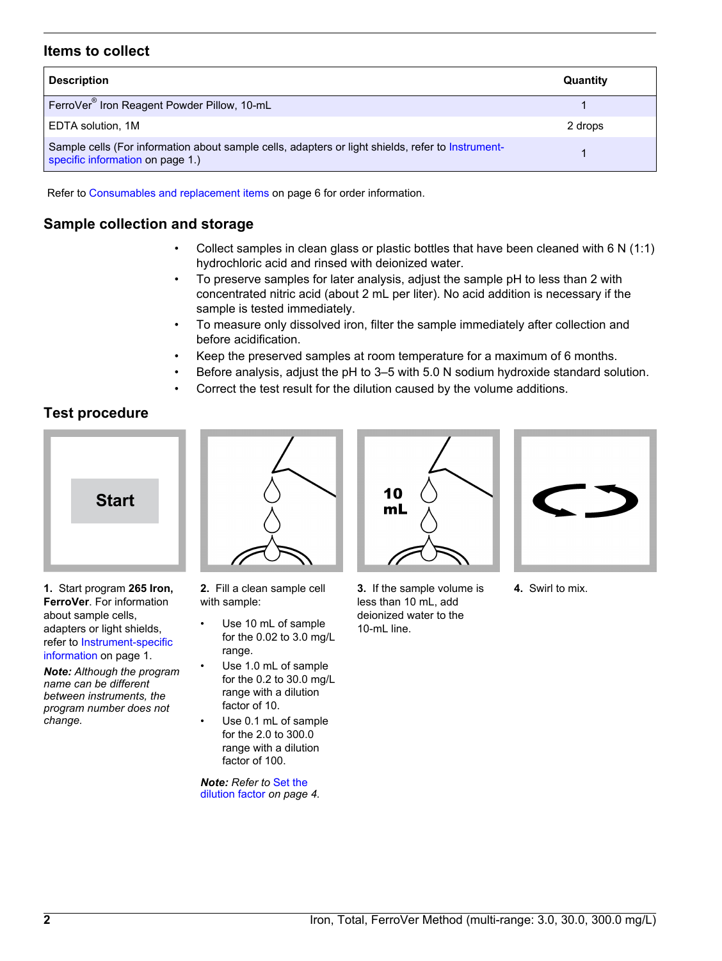# **Items to collect**

| <b>Description</b>                                                                                                                    | Quantity |
|---------------------------------------------------------------------------------------------------------------------------------------|----------|
| FerroVer <sup>®</sup> Iron Reagent Powder Pillow, 10-mL                                                                               |          |
| EDTA solution, 1M                                                                                                                     | 2 drops  |
| Sample cells (For information about sample cells, adapters or light shields, refer to Instrument-<br>specific information on page 1.) |          |

Refer to [Consumables and replacement items](#page-5-0) on page 6 for order information.

# **Sample collection and storage**

- Collect samples in clean glass or plastic bottles that have been cleaned with 6 N (1:1) hydrochloric acid and rinsed with deionized water.
- To preserve samples for later analysis, adjust the sample pH to less than 2 with concentrated nitric acid (about 2 mL per liter). No acid addition is necessary if the sample is tested immediately.
- To measure only dissolved iron, filter the sample immediately after collection and before acidification.
- Keep the preserved samples at room temperature for a maximum of 6 months.
- Before analysis, adjust the pH to 3–5 with 5.0 N sodium hydroxide standard solution.
- Correct the test result for the dilution caused by the volume additions.

# **Test procedure**



**1.** Start program **265 Iron, FerroVer**. For information about sample cells, adapters or light shields, refer to [Instrument-specific](#page-0-1) [information](#page-0-1) on page 1.

*Note: Although the program name can be different between instruments, the program number does not change.*



- **2.** Fill a clean sample cell with sample:
- Use 10 mL of sample for the 0.02 to 3.0 mg/L range.
- Use 1.0 mL of sample for the 0.2 to 30.0 mg/L range with a dilution factor of 10.
- Use 0.1 mL of sample for the 2.0 to 300.0 range with a dilution factor of 100.

*Note: Refer to* [Set the](#page-3-0) [dilution factor](#page-3-0) *on page 4.*



**3.** If the sample volume is less than 10 mL, add deionized water to the 10-mL line.



**4.** Swirl to mix.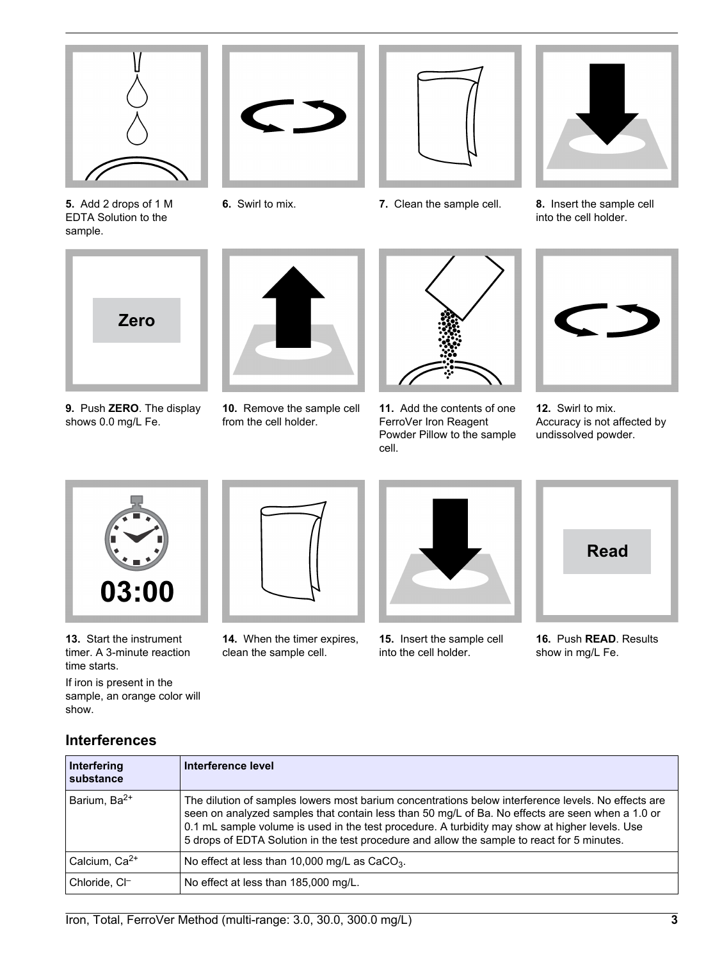

**5.** Add 2 drops of 1 M EDTA Solution to the sample.





**6.** Swirl to mix. **7.** Clean the sample cell. **8.** Insert the sample cell into the cell holder.



- **9.** Push **ZERO**. The display shows 0.0 mg/L Fe.
- **10.** Remove the sample cell from the cell holder.



**11.** Add the contents of one FerroVer Iron Reagent Powder Pillow to the sample cell.



**12.** Swirl to mix. Accuracy is not affected by undissolved powder.



**13.** Start the instrument timer. A 3-minute reaction time starts.

If iron is present in the sample, an orange color will show.



**14.** When the timer expires, clean the sample cell.



**15.** Insert the sample cell into the cell holder.



**16.** Push **READ**. Results show in mg/L Fe.

# **Interferences**

| Interfering<br>substance | Interference level                                                                                                                                                                                                                                                                                                                                                                                       |
|--------------------------|----------------------------------------------------------------------------------------------------------------------------------------------------------------------------------------------------------------------------------------------------------------------------------------------------------------------------------------------------------------------------------------------------------|
| Barium, Ba <sup>2+</sup> | The dilution of samples lowers most barium concentrations below interference levels. No effects are<br>seen on analyzed samples that contain less than 50 mg/L of Ba. No effects are seen when a 1.0 or<br>0.1 mL sample volume is used in the test procedure. A turbidity may show at higher levels. Use<br>5 drops of EDTA Solution in the test procedure and allow the sample to react for 5 minutes. |
| Calcium, $Ca2+$          | No effect at less than 10,000 mg/L as CaCO <sub>3</sub> .                                                                                                                                                                                                                                                                                                                                                |
| Chloride, CI-            | No effect at less than 185,000 mg/L.                                                                                                                                                                                                                                                                                                                                                                     |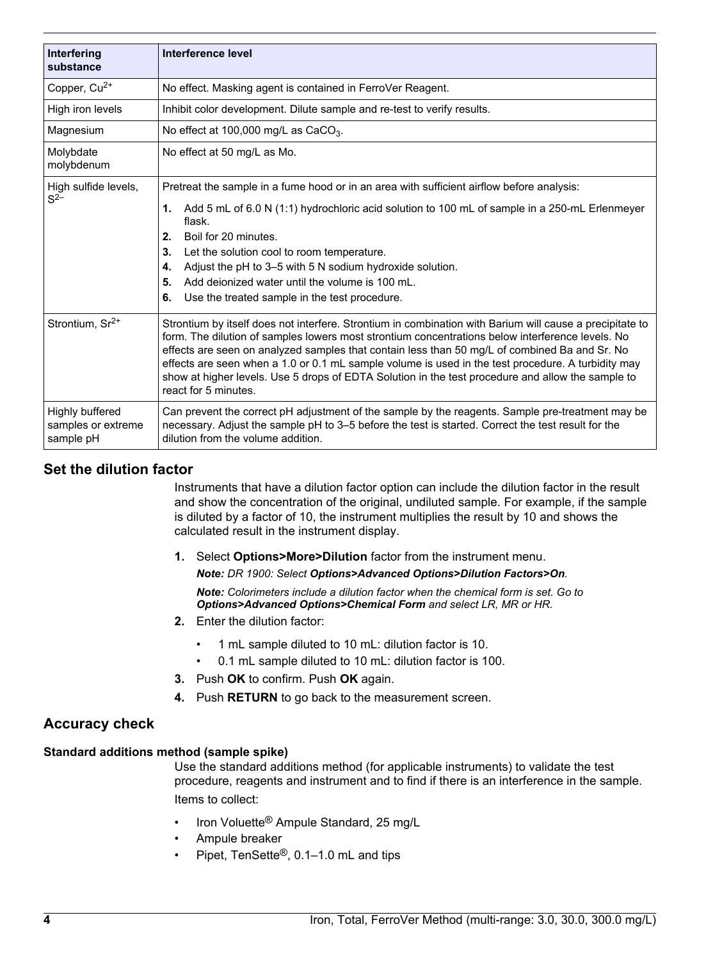| Interfering                                        | Interference level                                                                                                                                                                                                                                                                                                                                                                                                                                                                                                                               |
|----------------------------------------------------|--------------------------------------------------------------------------------------------------------------------------------------------------------------------------------------------------------------------------------------------------------------------------------------------------------------------------------------------------------------------------------------------------------------------------------------------------------------------------------------------------------------------------------------------------|
| substance                                          |                                                                                                                                                                                                                                                                                                                                                                                                                                                                                                                                                  |
| Copper, Cu <sup>2+</sup>                           | No effect. Masking agent is contained in FerroVer Reagent.                                                                                                                                                                                                                                                                                                                                                                                                                                                                                       |
| High iron levels                                   | Inhibit color development. Dilute sample and re-test to verify results.                                                                                                                                                                                                                                                                                                                                                                                                                                                                          |
| Magnesium                                          | No effect at 100,000 mg/L as CaCO <sub>3</sub> .                                                                                                                                                                                                                                                                                                                                                                                                                                                                                                 |
| Molybdate<br>molybdenum                            | No effect at 50 mg/L as Mo.                                                                                                                                                                                                                                                                                                                                                                                                                                                                                                                      |
| High sulfide levels,                               | Pretreat the sample in a fume hood or in an area with sufficient airflow before analysis:                                                                                                                                                                                                                                                                                                                                                                                                                                                        |
| $S^{2-}$                                           | Add 5 mL of 6.0 N (1:1) hydrochloric acid solution to 100 mL of sample in a 250-mL Erlenmeyer<br>1.<br>flask.<br>Boil for 20 minutes.<br>2.                                                                                                                                                                                                                                                                                                                                                                                                      |
|                                                    | Let the solution cool to room temperature.<br>3.                                                                                                                                                                                                                                                                                                                                                                                                                                                                                                 |
|                                                    | Adjust the pH to 3–5 with 5 N sodium hydroxide solution.<br>4.                                                                                                                                                                                                                                                                                                                                                                                                                                                                                   |
|                                                    | Add deionized water until the volume is 100 mL.<br>5.                                                                                                                                                                                                                                                                                                                                                                                                                                                                                            |
|                                                    | Use the treated sample in the test procedure.<br>6.                                                                                                                                                                                                                                                                                                                                                                                                                                                                                              |
| Strontium, Sr <sup>2+</sup>                        | Strontium by itself does not interfere. Strontium in combination with Barium will cause a precipitate to<br>form. The dilution of samples lowers most strontium concentrations below interference levels. No<br>effects are seen on analyzed samples that contain less than 50 mg/L of combined Ba and Sr. No<br>effects are seen when a 1.0 or 0.1 mL sample volume is used in the test procedure. A turbidity may<br>show at higher levels. Use 5 drops of EDTA Solution in the test procedure and allow the sample to<br>react for 5 minutes. |
| Highly buffered<br>samples or extreme<br>sample pH | Can prevent the correct pH adjustment of the sample by the reagents. Sample pre-treatment may be<br>necessary. Adjust the sample pH to 3–5 before the test is started. Correct the test result for the<br>dilution from the volume addition.                                                                                                                                                                                                                                                                                                     |

# <span id="page-3-0"></span>**Set the dilution factor**

Instruments that have a dilution factor option can include the dilution factor in the result and show the concentration of the original, undiluted sample. For example, if the sample is diluted by a factor of 10, the instrument multiplies the result by 10 and shows the calculated result in the instrument display.

**1.** Select **Options>More>Dilution** factor from the instrument menu. *Note: DR 1900: Select Options>Advanced Options>Dilution Factors>On. Note: Colorimeters include a dilution factor when the chemical form is set. Go to*

*Options>Advanced Options>Chemical Form and select LR, MR or HR.*

- **2.** Enter the dilution factor:
	- 1 mL sample diluted to 10 mL: dilution factor is 10.
	- 0.1 mL sample diluted to 10 mL: dilution factor is 100.
- **3.** Push **OK** to confirm. Push **OK** again.
- **4.** Push **RETURN** to go back to the measurement screen.

### **Accuracy check**

#### **Standard additions method (sample spike)**

Use the standard additions method (for applicable instruments) to validate the test procedure, reagents and instrument and to find if there is an interference in the sample. Items to collect:

- Iron Voluette® Ampule Standard, 25 mg/L
- Ampule breaker
- Pipet, TenSette®, 0.1–1.0 mL and tips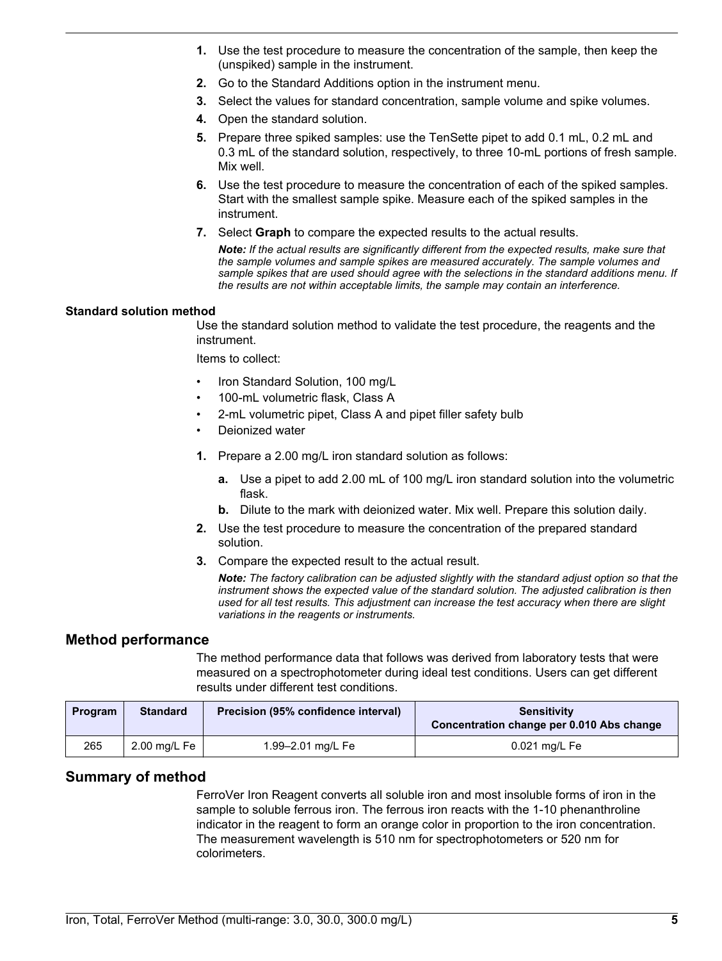- **1.** Use the test procedure to measure the concentration of the sample, then keep the (unspiked) sample in the instrument.
- **2.** Go to the Standard Additions option in the instrument menu.
- **3.** Select the values for standard concentration, sample volume and spike volumes.
- **4.** Open the standard solution.
- **5.** Prepare three spiked samples: use the TenSette pipet to add 0.1 mL, 0.2 mL and 0.3 mL of the standard solution, respectively, to three 10-mL portions of fresh sample. Mix well.
- **6.** Use the test procedure to measure the concentration of each of the spiked samples. Start with the smallest sample spike. Measure each of the spiked samples in the instrument.
- **7.** Select **Graph** to compare the expected results to the actual results.

*Note: If the actual results are significantly different from the expected results, make sure that the sample volumes and sample spikes are measured accurately. The sample volumes and sample spikes that are used should agree with the selections in the standard additions menu. If the results are not within acceptable limits, the sample may contain an interference.*

#### **Standard solution method**

Use the standard solution method to validate the test procedure, the reagents and the instrument.

Items to collect:

- Iron Standard Solution, 100 mg/L
- 100-mL volumetric flask, Class A
- 2-mL volumetric pipet, Class A and pipet filler safety bulb
- Deionized water
- **1.** Prepare a 2.00 mg/L iron standard solution as follows:
	- **a.** Use a pipet to add 2.00 mL of 100 mg/L iron standard solution into the volumetric flask.
	- **b.** Dilute to the mark with deionized water. Mix well. Prepare this solution daily.
- **2.** Use the test procedure to measure the concentration of the prepared standard solution.
- **3.** Compare the expected result to the actual result.

*Note: The factory calibration can be adjusted slightly with the standard adjust option so that the instrument shows the expected value of the standard solution. The adjusted calibration is then used for all test results. This adjustment can increase the test accuracy when there are slight variations in the reagents or instruments.*

### **Method performance**

The method performance data that follows was derived from laboratory tests that were measured on a spectrophotometer during ideal test conditions. Users can get different results under different test conditions.

| Program | <b>Standard</b> | Precision (95% confidence interval) | Sensitivity<br>Concentration change per 0.010 Abs change |
|---------|-----------------|-------------------------------------|----------------------------------------------------------|
| 265     | 2.00 mg/L Fe    | 1.99–2.01 mg/L Fe                   | 0.021 mg/L Fe                                            |

### **Summary of method**

FerroVer Iron Reagent converts all soluble iron and most insoluble forms of iron in the sample to soluble ferrous iron. The ferrous iron reacts with the 1-10 phenanthroline indicator in the reagent to form an orange color in proportion to the iron concentration. The measurement wavelength is 510 nm for spectrophotometers or 520 nm for colorimeters.